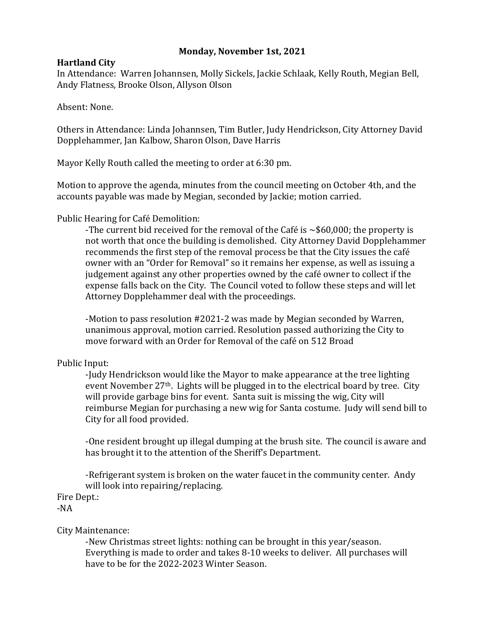# **Monday, November 1st, 2021**

# **Hartland City**

In Attendance: Warren Johannsen, Molly Sickels, Jackie Schlaak, Kelly Routh, Megian Bell, Andy Flatness, Brooke Olson, Allyson Olson

Absent: None.

Others in Attendance: Linda Johannsen, Tim Butler, Judy Hendrickson, City Attorney David Dopplehammer, Jan Kalbow, Sharon Olson, Dave Harris

Mayor Kelly Routh called the meeting to order at 6:30 pm.

Motion to approve the agenda, minutes from the council meeting on October 4th, and the accounts payable was made by Megian, seconded by Jackie; motion carried.

Public Hearing for Café Demolition:

-The current bid received for the removal of the Café is  $\sim$ \$60,000; the property is not worth that once the building is demolished. City Attorney David Dopplehammer recommends the first step of the removal process be that the City issues the café owner with an "Order for Removal" so it remains her expense, as well as issuing a judgement against any other properties owned by the café owner to collect if the expense falls back on the City. The Council voted to follow these steps and will let Attorney Dopplehammer deal with the proceedings.

-Motion to pass resolution #2021-2 was made by Megian seconded by Warren, unanimous approval, motion carried. Resolution passed authorizing the City to move forward with an Order for Removal of the café on 512 Broad

# Public Input:

-Judy Hendrickson would like the Mayor to make appearance at the tree lighting event November 27<sup>th</sup>. Lights will be plugged in to the electrical board by tree. City will provide garbage bins for event. Santa suit is missing the wig, City will reimburse Megian for purchasing a new wig for Santa costume. Judy will send bill to City for all food provided.

-One resident brought up illegal dumping at the brush site. The council is aware and has brought it to the attention of the Sheriff's Department.

-Refrigerant system is broken on the water faucet in the community center. Andy will look into repairing/replacing.

Fire Dept.:

-NA

## City Maintenance:

-New Christmas street lights: nothing can be brought in this year/season. Everything is made to order and takes 8-10 weeks to deliver. All purchases will have to be for the 2022-2023 Winter Season.